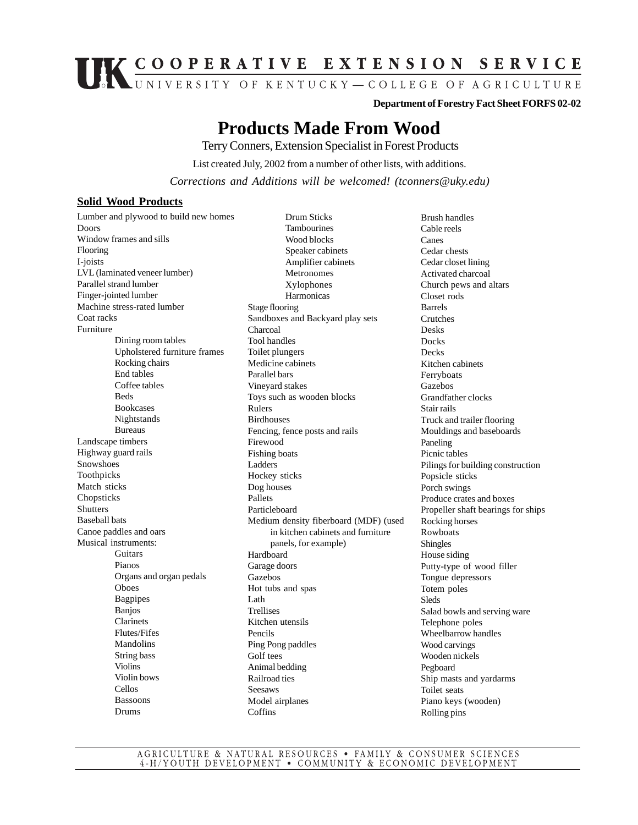# **COOPERATIVE EXTENSION SERVICE**

**Department of Forestry Fact Sheet FORFS 02-02**

# **Products Made From Wood**

Terry Conners, Extension Specialist in Forest Products

List created July, 2002 from a number of other lists, with additions. *Corrections and Additions will be welcomed! (tconners@uky.edu)*

### **Solid Wood Products**

Lumber and plywood to build new homes Doors Window frames and sills Flooring I-joists LVL (laminated veneer lumber) Parallel strand lumber Finger-jointed lumber Machine stress-rated lumber Coat racks Furniture Dining room tables Upholstered furniture frames Rocking chairs End tables Coffee tables Beds Bookcases Nightstands Bureaus Landscape timbers Highway guard rails Snowshoes Toothpicks Match sticks Chopsticks Shutters Baseball bats Canoe paddles and oars Musical instruments: **Guitars** Pianos Organs and organ pedals Oboes **Bagpipes** Banjos Clarinets Flutes/Fifes Mandolins String bass Violins Violin bows Cellos Bassoons Drums

Drum Sticks Tambourines Wood blocks Speaker cabinets Amplifier cabinets Metronomes Xylophones Harmonicas Stage flooring Sandboxes and Backyard play sets Charcoal Tool handles Toilet plungers Medicine cabinets Parallel bars Vineyard stakes Toys such as wooden blocks Rulers Birdhouses Fencing, fence posts and rails Firewood Fishing boats Ladders Hockey sticks Dog houses Pallets Particleboard Medium density fiberboard (MDF) (used in kitchen cabinets and furniture panels, for example) Hardboard Garage doors Gazebos Hot tubs and spas Lath Trellises Kitchen utensils Pencils Ping Pong paddles Golf tees Animal bedding Railroad ties Seesaws Model airplanes **Coffins** 

Brush handles Cable reels Canes Cedar chests Cedar closet lining Activated charcoal Church pews and altars Closet rods Barrels Crutches Desks Docks **Decks** Kitchen cabinets Ferryboats Gazebos Grandfather clocks Stair rails Truck and trailer flooring Mouldings and baseboards Paneling Picnic tables Pilings for building construction Popsicle sticks Porch swings Produce crates and boxes Propeller shaft bearings for ships Rocking horses Rowboats Shingles House siding Putty-type of wood filler Tongue depressors Totem poles Sleds Salad bowls and serving ware Telephone poles Wheelbarrow handles Wood carvings Wooden nickels Pegboard Ship masts and yardarms Toilet seats Piano keys (wooden) Rolling pins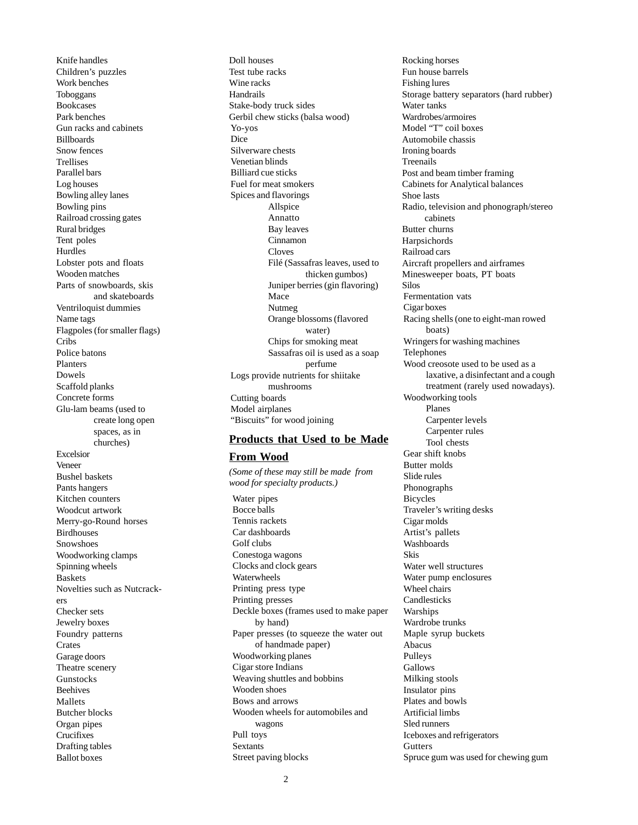Parallel bars Log houses Bowling alley lanes Bowling pins Railroad crossing gates Rural bridges Tent poles Hurdles Lobster pots and floats Wooden matches Parts of snowboards, skis and skateboards Ventriloquist dummies Name tags Flagpoles (for smaller flags) Cribs Police batons Planters Dowels Scaffold planks Concrete forms Glu-lam beams (used to create long open spaces, as in churches) Excelsior Veneer Bushel baskets Pants hangers Kitchen counters Woodcut artwork Merry-go-Round horses Birdhouses Snowshoes Woodworking clamps Spinning wheels Baskets Novelties such as Nutcrackers Checker sets Jewelry boxes Foundry patterns Crates Garage doors Theatre scenery Gunstocks Beehives Mallets Butcher blocks Organ pipes Crucifixes Drafting tables Ballot boxes Knife handles Children's puzzles Work benches Toboggans Bookcases Park benches Gun racks and cabinets Billboards Snow fences **Trellises** 

Yo-yos Dice Silverware chests Venetian blinds Billiard cue sticks Fuel for meat smokers Spices and flavorings Allspice Annatto Bay leaves Cinnamon Cloves Filé (Sassafras leaves, used to thicken gumbos) Juniper berries (gin flavoring) Mace Nutmeg Orange blossoms (flavored water) Chips for smoking meat Sassafras oil is used as a soap perfume Logs provide nutrients for shiitake mushrooms Cutting boards Model airplanes "Biscuits" for wood joining Doll houses Test tube racks Wine racks Handrails Stake-body truck sides Gerbil chew sticks (balsa wood)

#### **Products that Used to be Made**

#### **From Wood**

*(Some of these may still be made from wood for specialty products.)*

Water pipes Bocce balls Tennis rackets Car dashboards Golf clubs Conestoga wagons Clocks and clock gears Waterwheels Printing press type Printing presses Deckle boxes (frames used to make paper by hand) Paper presses (to squeeze the water out of handmade paper) Woodworking planes Cigar store Indians Weaving shuttles and bobbins Wooden shoes Bows and arrows Wooden wheels for automobiles and wagons Pull toys Sextants Street paving blocks

Rocking horses Fun house barrels Fishing lures Storage battery separators (hard rubber) Water tanks Wardrobes/armoires Model "T" coil boxes Automobile chassis Ironing boards Treenails Post and beam timber framing Cabinets for Analytical balances Shoe lasts Radio, television and phonograph/stereo cabinets Butter churns Harpsichords Railroad cars Aircraft propellers and airframes Minesweeper boats, PT boats Silos Fermentation vats Cigar boxes Racing shells (one to eight-man rowed boats) Wringers for washing machines Telephones Wood creosote used to be used as a laxative, a disinfectant and a cough treatment (rarely used nowadays). Woodworking tools Planes Carpenter levels Carpenter rules Tool chests Gear shift knobs Butter molds Slide rules Phonographs Bicycles Traveler's writing desks Cigar molds Artist's pallets Washboards Skis Water well structures Water pump enclosures Wheel chairs Candlesticks **Warships** Wardrobe trunks Maple syrup buckets Abacus Pulleys **Gallows** Milking stools Insulator pins Plates and bowls Artificial limbs Sled runners Iceboxes and refrigerators **Gutters** Spruce gum was used for chewing gum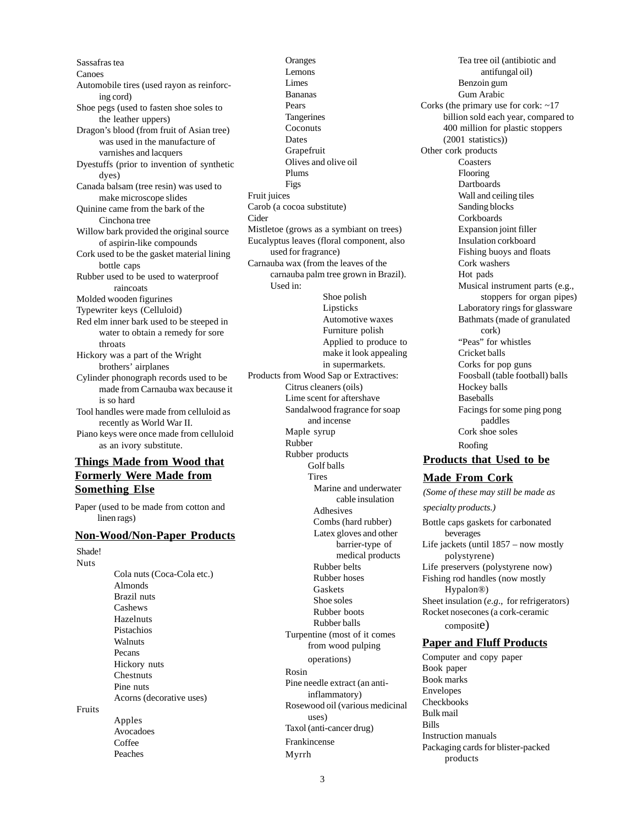Sassafras tea Canoes Automobile tires (used rayon as reinforcing cord) Shoe pegs (used to fasten shoe soles to the leather uppers) Dragon's blood (from fruit of Asian tree) was used in the manufacture of varnishes and lacquers Dyestuffs (prior to invention of synthetic dyes) Canada balsam (tree resin) was used to make microscope slides Quinine came from the bark of the Cinchona tree Willow bark provided the original source of aspirin-like compounds Cork used to be the gasket material lining bottle caps Rubber used to be used to waterproof raincoats Molded wooden figurines Typewriter keys (Celluloid) Red elm inner bark used to be steeped in water to obtain a remedy for sore throats Hickory was a part of the Wright brothers' airplanes Cylinder phonograph records used to be made from Carnauba wax because it is so hard Tool handles were made from celluloid as recently as World War II. Piano keys were once made from celluloid as an ivory substitute.

# **Things Made from Wood that Formerly Were Made from Something Else**

Paper (used to be made from cotton and linen rags)

#### **Non-Wood/Non-Paper Products**

Shade! Cola nuts (Coca-Cola etc.) Almonds Brazil nuts Cashews Hazelnuts Pistachios Walnuts Pecans Hickory nuts **Chestnuts** Pine nuts Acorns (decorative uses)

Fruits

Nuts

Apples Avocadoes Coffee Peaches

**Oranges** Lemons Limes Bananas Pears Tangerines Coconuts Dates Grapefruit Olives and olive oil Plums Figs Fruit juices Carob (a cocoa substitute) Cider Mistletoe (grows as a symbiant on trees) Eucalyptus leaves (floral component, also used for fragrance) Carnauba wax (from the leaves of the carnauba palm tree grown in Brazil). Used in: Shoe polish Lipsticks Automotive waxes Furniture polish Applied to produce to make it look appealing in supermarkets. Products from Wood Sap or Extractives: Citrus cleaners (oils) Lime scent for aftershave Sandalwood fragrance for soap and incense Maple syrup Rubber Rubber products Golf balls Tires Marine and underwater cable insulation Adhesives Combs (hard rubber) Latex gloves and other barrier-type of medical products Rubber belts Rubber hoses Gaskets Shoe soles Rubber boots Rubber balls Turpentine (most of it comes from wood pulping operations) Rosin Pine needle extract (an antiinflammatory) Rosewood oil (various medicinal uses) Taxol (anti-cancer drug)

Tea tree oil (antibiotic and antifungal oil) Benzoin gum Gum Arabic Corks (the primary use for cork:  $\sim$ 17 billion sold each year, compared to 400 million for plastic stoppers (2001 statistics)) Other cork products Coasters Flooring **Dartboards** Wall and ceiling tiles Sanding blocks **Corkboards** Expansion joint filler Insulation corkboard Fishing buoys and floats Cork washers Hot pads Musical instrument parts (e.g., stoppers for organ pipes) Laboratory rings for glassware Bathmats (made of granulated cork) "Peas" for whistles Cricket balls Corks for pop guns Foosball (table football) balls Hockey balls Baseballs Facings for some ping pong paddles Cork shoe soles Roofing

# **Products that Used to be**

# **Made From Cork**

*(Some of these may still be made as specialty products.)* Bottle caps gaskets for carbonated beverages Life jackets (until 1857 – now mostly polystyrene) Life preservers (polystyrene now) Fishing rod handles (now mostly Hypalon®) Sheet insulation (*e.g*., for refrigerators) Rocket nosecones (a cork-ceramic composite)

# **Paper and Fluff Products**

Computer and copy paper Book paper Book marks Envelopes Checkbooks Bulk mail Bills Instruction manuals Packaging cards for blister-packed products

Frankincense Myrrh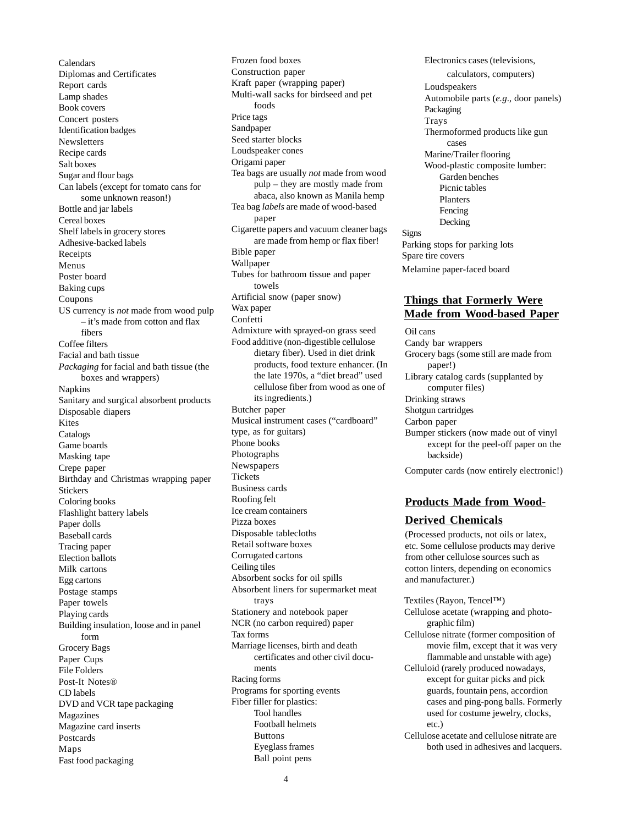Calendars Diplomas and Certificates Report cards Lamp shades Book covers Concert posters Identification badges **Newsletters** Recipe cards Salt boxes Sugar and flour bags Can labels (except for tomato cans for some unknown reason!) Bottle and jar labels Cereal boxes Shelf labels in grocery stores Adhesive-backed labels Receipts Menus Poster board Baking cups Coupons US currency is *not* made from wood pulp – it's made from cotton and flax fibers Coffee filters Facial and bath tissue *Packaging* for facial and bath tissue (the boxes and wrappers) Napkins Sanitary and surgical absorbent products Disposable diapers Kites Catalogs Game boards Masking tape Crepe paper Birthday and Christmas wrapping paper **Stickers** Coloring books Flashlight battery labels Paper dolls Baseball cards Tracing paper Election ballots Milk cartons Egg cartons Postage stamps Paper towels Playing cards Building insulation, loose and in panel form Grocery Bags Paper Cups File Folders Post-It Notes® CD labels DVD and VCR tape packaging Magazines Magazine card inserts Postcards Maps Fast food packaging

Frozen food boxes Construction paper Kraft paper (wrapping paper) Multi-wall sacks for birdseed and pet foods Price tags Sandpaper Seed starter blocks Loudspeaker cones Origami paper Tea bags are usually *not* made from wood pulp – they are mostly made from abaca, also known as Manila hemp Tea bag *labels* are made of wood-based paper Cigarette papers and vacuum cleaner bags are made from hemp or flax fiber! Bible paper Wallpaper Tubes for bathroom tissue and paper towels Artificial snow (paper snow) Wax paper Confetti Admixture with sprayed-on grass seed Food additive (non-digestible cellulose dietary fiber). Used in diet drink products, food texture enhancer. (In the late 1970s, a "diet bread" used cellulose fiber from wood as one of its ingredients.) Butcher paper Musical instrument cases ("cardboard" type, as for guitars) Phone books Photographs Newspapers **Tickets** Business cards Roofing felt Ice cream containers Pizza boxes Disposable tablecloths Retail software boxes Corrugated cartons Ceiling tiles Absorbent socks for oil spills Absorbent liners for supermarket meat trays Stationery and notebook paper NCR (no carbon required) paper Tax forms Marriage licenses, birth and death certificates and other civil documents Racing forms Programs for sporting events Fiber filler for plastics: Tool handles Football helmets Buttons Eyeglass frames Ball point pens

Electronics cases (televisions, calculators, computers) Loudspeakers Automobile parts (*e.g*., door panels) Packaging Trays Thermoformed products like gun cases Marine/Trailer flooring Wood-plastic composite lumber: Garden benches Picnic tables Planters Fencing Decking **Signs** Parking stops for parking lots Spare tire covers Melamine paper-faced board

# **Things that Formerly Were Made from Wood-based Paper**

Oil cans Candy bar wrappers Grocery bags (some still are made from paper!) Library catalog cards (supplanted by computer files) Drinking straws Shotgun cartridges Carbon paper Bumper stickers (now made out of vinyl except for the peel-off paper on the backside) Computer cards (now entirely electronic!)

# **Products Made from Wood-**

# **Derived Chemicals**

(Processed products, not oils or latex, etc. Some cellulose products may derive from other cellulose sources such as cotton linters, depending on economics and manufacturer.)

Textiles (Rayon, Tencel™) Cellulose acetate (wrapping and photographic film) Cellulose nitrate (former composition of movie film, except that it was very flammable and unstable with age) Celluloid (rarely produced nowadays, except for guitar picks and pick guards, fountain pens, accordion cases and ping-pong balls. Formerly used for costume jewelry, clocks, etc.)

Cellulose acetate and cellulose nitrate are both used in adhesives and lacquers.